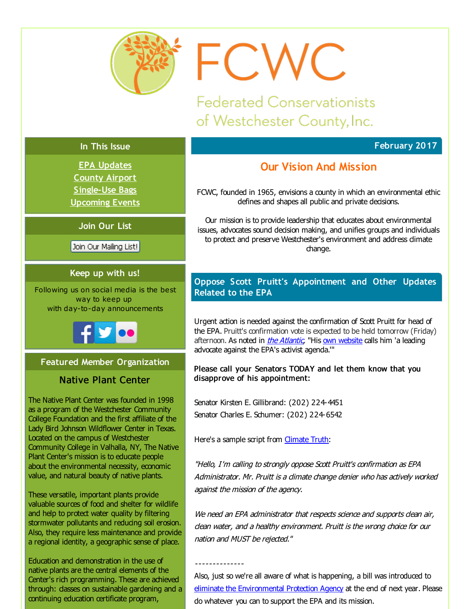<span id="page-0-0"></span>

FCWC

**Federated Conservationists** of Westchester County, Inc.

# **In This Issue**

**EPA [Updates](#page-0-0) County [Airport](#page-0-0) [Single-Use](#page-0-0) Bags [Upcoming](#page-0-0) Events**

# **Join Our List**

Join Our Mailing List!

# **Keep up with us!**

Following us on social media is the best way to keep up with day-to-day announcements



**Featured Member Organization**

# Native Plant Center

The Native Plant Center was founded in 1998 as a program of the Westchester Community College Foundation and the first affiliate of the Lady Bird Johnson Wildflower Center in Texas. Located on the campus of Westchester Community College in Valhalla, NY, The Native Plant Center's mission is to educate people about the environmental necessity, economic value, and natural beauty of native plants.

These versatile, important plants provide valuable sources of food and shelter for wildlife and help to protect water quality by filtering stormwater pollutants and reducing soil erosion. Also, they require less maintenance and provide a regional identity, a geographic sense of place.

Education and demonstration in the use of native plants are the central elements of the Center's rich programming. These are achieved through: dasses on sustainable gardening and a continuing education certificate program,

# **February 2017**

# **Our Vision And Mission**

FCWC, founded in 1965, envisions a county in which an environmental ethic defines and shapes all public and private decisions.

Our mission is to provide leadership that educates about environmental issues, advocates sound decision making, and unifies groups and individuals to protect and preserve Westchester's environment and address dimate change.

# **Oppose Scott Pruitt's Appointment and Other Updates Related to the EPA**

Urgent action is needed against the confirmation of Scott Pruitt for head of the EPA. Pruitt's confirmation vote is expected to be held tomorrow (Friday) afternoon. As noted in *the [Atlantic](http://r20.rs6.net/tn.jsp?f=001yS8dyfD0SnBn7yrL86OqplMbJZubEaOWdMGBJOBMzYkBQlsZGUntKarUd9KS8G988BJ3yipmI3lk0JV-IhkCJYpyjrWTIUwD06TXyhJm1kQZdY8LMqcAYbQb3kbKHHTKN7FzAtEhk-tvdHZEdXREqKz1juObIEbDvSN6utfCW5fCOThFo1Yu1pUYHI_nol9XK_jIdcpKyfHsjXJ-EOBtlal1PGEvhZ51zdtFdQ6AfwT86y-dNFkNspN9Y5ZsnT5xQ5RBAMyRXmShnmlbRZ-SgBVL1RGzhyzMAMMM0oEdP65pIFFTARz7rmwrOSAzGLoE&c=&ch=)*, "His own [website](http://r20.rs6.net/tn.jsp?f=001yS8dyfD0SnBn7yrL86OqplMbJZubEaOWdMGBJOBMzYkBQlsZGUntKarUd9KS8G9872Ny_4QOMkFXzXaVVZGk7tndh2Um0g0NeUL1XssU6Nw1Obg6itGEuwJyrpSmCnNjdCieFSagfrbdeARBCWFXzbSVMLEOFR18s-_gF7RMFq3yecl-Te8XzyYqpGlA3pvM0HOVYrc1Lks=&c=&ch=) calls him 'a leading advocate against the EPA's activist agenda.'"

### Please call your Senators TODAY and let them know that you disapprove of his appointment:

Senator Kirsten E. Gillibrand: (202) 224-4451 Senator Charles E. Schumer: (202) 224-6542

Here's a sample script from [Climate](http://r20.rs6.net/tn.jsp?f=001yS8dyfD0SnBn7yrL86OqplMbJZubEaOWdMGBJOBMzYkBQlsZGUntKarUd9KS8G98KtLihc-vjs6cLJuUC90_jiziZcR5oUhh-1f4ZJzB_i7YBBF6LB6QkjfS-r4k3XwLRfoZ1GrUlFl18SHB68zIF5IOxe1QtsVwps5iPMgT0jSWj6FWnYKj7A2EdIa2it70Y9C6jFySmpxcfXBczyefTdoUPw1CN9KZN3NWw6a06rbdFXY625yvBU3xW9mw17pwelgkx8RhWCA3nc_cjj6vAKa_s5rvlaP761BivPoewntaWSLMFDHr6zdFCxbQRZiJQe_pbR1pYgs=&c=&ch=) Truth:

"Hello, I'm calling to strongly oppose Scott Pruitt's confirmation as EPA Administrator. Mr. Pruitt is <sup>a</sup> climate change denier who has actively worked against the mission of the agency.

We need an EPA administrator that respects science and supports dean air, dean water, and a healthy environment. Pruitt is the wrong choice for our nation and MUST be rejected."

--------------

Also, just so we're all aware of what is happening, a bill was introduced to eliminate the [Environmental](http://r20.rs6.net/tn.jsp?f=001yS8dyfD0SnBn7yrL86OqplMbJZubEaOWdMGBJOBMzYkBQlsZGUntKarUd9KS8G98NC-fNIPr4yJmdjb-09vxr1Gyo3xcC-xnsPO8nhnLVP4gmQ6wmXsMZa5CQY3RETkXReGAqTuJaUpUt0h6VC6YCZfXsjldsLU6Kqe8nrpXDmBTsaNedvirJxobN0yHR5fP-o7Ip_5zvQijCIwkY9BLMMcXKW5E3upl-UR6urbPqwC2EAHhhmbZvlFY_LLILSgNHnu8DUKO48yEIV89dct1vA==&c=&ch=) Protection Agency at the end of next year. Please do whatever you can to support the EPA and its mission.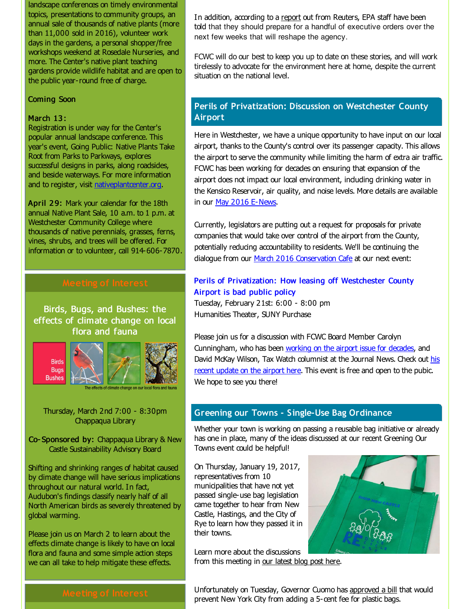landscape conferences on timely environmental topics, presentations to community groups, an annual sale of thousands of native plants (more than 11,000 sold in 2016), volunteer work days in the gardens, a personal shopper/free workshops weekend at Rosedale Nurseries, and more. The Center's native plant teaching gardens provide wildlife habitat and are open to the public year-round free of charge.

#### Coming Soon

#### March 13:

Registration is under way for the Center's popular annual landscape conference. This year's event, Going Public: Native Plants Take Root from Parks to Parkways, explores successful designs in parks, along roadsides, and beside waterways. For more information and to register, visit [nativeplantcenter.org](http://r20.rs6.net/tn.jsp?f=001yS8dyfD0SnBn7yrL86OqplMbJZubEaOWdMGBJOBMzYkBQlsZGUntKarUd9KS8G98zXvXGJx9kwXpFYu49n0gIQq4NnB-f0iHbZgy9efxijak-RaKo4OphrorY-biqAPtQu9BMitheoDbgt1v3T8w7SBlPvaziohpJQnSrWYcFRg1rHTU6bgk0MXrsOA3xR87&c=&ch=).

April 29: Mark your calendar for the 18th annual Native Plant Sale, 10 a.m. to 1 p.m. at Westchester Community College where thousands of native perennials, grasses, ferns, vines, shrubs, and trees will be offered. For information or to volunteer, call 914-606-7870.

Birds, Bugs, and Bushes: the effects of climate change on local flora and fauna



Thursday, March 2nd 7:00 - 8:30pm Chappaqua Library

Co- Sponsored by: Chappaqua Library & New Castle Sustainability Advisory Board

Shifting and shrinking ranges of habitat caused by dimate change will have serious implications throughout our natural world. In fact, Audubon's findings dassify nearly half of all North American birds as severely threatened by global warming.

Please join us on March 2 to learn about the effects climate change is likely to have on local flora and fauna and some simple action steps we can all take to help mitigate these effects.

In addition, according to a [report](http://r20.rs6.net/tn.jsp?f=001yS8dyfD0SnBn7yrL86OqplMbJZubEaOWdMGBJOBMzYkBQlsZGUntKarUd9KS8G9877_Ml60CnFxPoGByc7XaA0Zjj5b9neN0zz3818OvO04dp4b409H5m72C6bf3g7ddx9tODKVyfA4qz3s4PAr3GILwOoI8LimQG4qm_JTQMU_OQdf3ajaGH84HZNaDhZtubzEkLyV-wye1Lg6oNvTu16pcNNr38oWd&c=&ch=) out from Reuters, EPA staff have been told that they should prepare for a handful of executive orders over the next few weeks that will reshape the agency.

FCWC will do our best to keep you up to date on these stories, and will work tirelessly to advocate for the environment here at home, despite the current situation on the national level.

# **Perils of Privatization: Discussion on Westchester County Airport**

Here in Westchester, we have a unique opportunity to have input on our local airport, thanks to the County's control over its passenger capacity. This allows the airport to serve the community while limiting the harm of extra air traffic. FCWC has been working for decades on ensuring that expansion of the airport does not impact our local environment, induding drinking water in the Kensico Reservoir, air quality, and noise levels. More details are available in our May 2016 [E-News](http://r20.rs6.net/tn.jsp?f=001yS8dyfD0SnBn7yrL86OqplMbJZubEaOWdMGBJOBMzYkBQlsZGUntKarUd9KS8G98RWuI__qtuvyIPJpZSO0QbErG_wquOfyg_j_PfG99aKwPNCRd9JLUna6hnGB6xxSSPaaLRIziSokPFqfB2QG5x4m3DKCGWRt41Tqnw8_b6312QdXKedMLIkXd5AM42xihAXtFjlUuH2hd05gP4zNs928fn_FgdrdhjlH6nqCMp-8=&c=&ch=).

Currently, legislators are putting out a request for proposals for private companies that would take over control of the airport from the County, potentially reducing accountability to residents. We'll be continuing the dialogue from our March 2016 [Conservation](http://r20.rs6.net/tn.jsp?f=001yS8dyfD0SnBn7yrL86OqplMbJZubEaOWdMGBJOBMzYkBQlsZGUntKarUd9KS8G98K6VZtTMfaPWgJuVCRWgIoVSUfw_vxPZFTL_RnEk6FKLzAWGZ9SEkSxwstfzY-Qbg983lzKdHsp3ZUfzsJco7ooFXJYAHplJlHz2JC_gkEK3tbcPXNQ5dno21qhqK-E2E_8kTYIxyBImFX0V6Os9Vqw==&c=&ch=) Cafe at our next event:

### Perils of [Privatization:](http://r20.rs6.net/tn.jsp?f=001yS8dyfD0SnBn7yrL86OqplMbJZubEaOWdMGBJOBMzYkBQlsZGUntKfDVKI7wgFxDst4cuPglbkVij8LpdHsxAm1AQmaPkHHactDt542joimc5HRbZiSGM6qV2-QEcwNFD_ueiOctA4i28Yd82-dNzgfqoeKGXdegve4VRSGFo7KGEs_4NQ-Vuw==&c=&ch=) How leasing off Westchester County Airport is bad public policy

Tuesday, February 21st: 6:00 - 8:00 pm Humanities Theater, SUNY Purchase

Please join us for a discussion with FCWC Board Member Carolyn Cunningham, who has been [working](http://r20.rs6.net/tn.jsp?f=001yS8dyfD0SnBn7yrL86OqplMbJZubEaOWdMGBJOBMzYkBQlsZGUntKarUd9KS8G98-PUw5bPs66Bv4oElHk5YizKMq4C1t8AYywo4UlXBKEKCURXq6EF9cgxCrt1uf-JalEbXjhM4TFBbpGCirHHe7FU51SbqXNhFNruEegGtqnuYap17YaXNtYLnsX-mEWNdvE841vWoVg_eoweVinBPLs3IOk3U7MkQ2i_y7MlQNq4N3FdlFFRfmrEQnZgqcBgUd4wodJELP8_n_9M8fDbM0botvTEV4p_b3xaIPnGwIINrNLR2prAzUqUzZT0uv6Kj309uU-O7zNwlQVvvErJr2g==&c=&ch=) on the airport issue for decades, and David McKay Wilson, Tax Watch [columnist](http://r20.rs6.net/tn.jsp?f=001yS8dyfD0SnBn7yrL86OqplMbJZubEaOWdMGBJOBMzYkBQlsZGUntKarUd9KS8G98mOrYcXUVghgNS_O2S6P1_NsUPD332F8Cbi75P1JkVhphDi3d2qBUONtTSBk-Z-S9--GkrhV-35yzfhmXLJxZ8sPzPWwSvFUsYHNBxI4HliqAELItvWk9guwhdhdpyRx90oD5kLVtjAMn1Il_dlCNwXwfwA8776l5lzjo76IWa-3hvRjS8q0pPLXJuXHDel2F3-ewunfVFTe8klITWfSY1MI1KGzSb4S5UkjRVSzOZBSJ-zkW3LdQw1s5fZIJgCPRytWNocqXnLoWca9Nh9Gf9BoGYyXTnHsLWtCKI2c0-b0=&c=&ch=) at the Journal News. Check out his recent update on the airport here. This event is free and open to the pubic. We hope to see you there!

#### **Greening our Towns - Single-Use Bag Ordinance**

Whether your town is working on passing a reusable bag initiative or already has one in place, many of the ideas discussed at our recent Greening Our Towns event could be helpful!

On Thursday, January 19, 2017, representatives from 10 municipalities that have not yet passed single-use bag legislation came together to hear from New Castle, Hastings, and the City of Rye to learn how they passed it in their towns.

Learn more about the discussions from this meeting in our [latest](http://r20.rs6.net/tn.jsp?f=001yS8dyfD0SnBn7yrL86OqplMbJZubEaOWdMGBJOBMzYkBQlsZGUntKarUd9KS8G980DPH8nHMjTOf7-ae0k92u3kC5_TTbXQH_o9I5siR5L39di49V4xhxXKD9JBC-PXClPnPzwoRF1owFAbSHPTtfkTUYxKgV7IGBqdmL8laJ4QLB8MBkLhHW5WeQlF5DDXP5iGsmSIze9s29vnKv6jdpku6oa8mmOb08LGy0G7SUU0uOUZaKQ7caLgJvbszSLabuJ5Yd0u7ydw=&c=&ch=) blog post here.



Unfortunately on Tuesday, Governor Cuomo has [approved](http://r20.rs6.net/tn.jsp?f=001yS8dyfD0SnBn7yrL86OqplMbJZubEaOWdMGBJOBMzYkBQlsZGUntKarUd9KS8G98BS_GCy6JgMy7snxrD-VzkxZWiN72ShePvJTjYdhxXrPIgabAFfa2CVYX8cQkh9j6VzFLTJvtqqvg0uPBTNRQMUHTqoHIUx6xIjnilGIfV36OLDAr1Ig4TYEiZgLze_sbGxL8OWRTrELnPgdraGaqXLMCodsvx9Rghyr_fIW23G6mo7TaVvW4yOCb5stE3pkDyclAYGgH7c0LXm8sHDF-Y1gjR6vdOXDlDEiI27wE-Lyyel91cUzyTJ54jU_J9Fp2Qe8T5bX8SP_VMIeyKF9tSXwh-j2nWy6uW_-W61O4yxIgDCCq5f71stxnFQcZlgJGUJ6JVa6OLVzgt3-2CvP73ozfhutq59Dtzjp3xEHHrV-rrad9rLQivguMlXCQUU7H&c=&ch=) a bill that would prevent New York City from adding a 5-cent fee for plastic bags.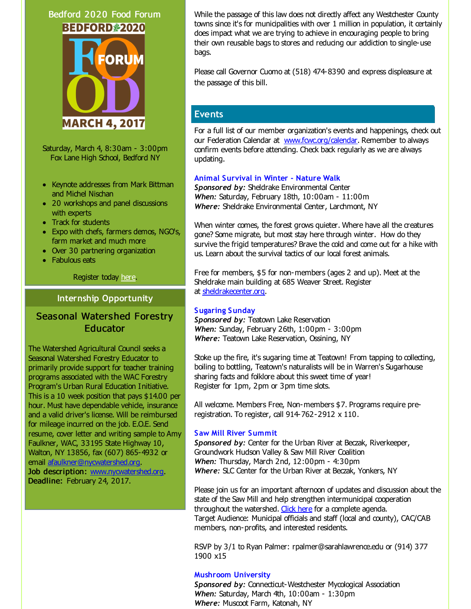# Bedford 2020 Food Forum **BEDFORD#2020**



Saturday, March 4, 8:30am - 3:00pm Fox Lane High School, Bedford NY

- Keynote addresses from Mark Bittman and Michel Nischan
- 20 workshops and panel discussions with experts
- Track for students
- Expo with chefs, farmers demos, NGO's, farm market and much more
- Over 30 partnering organization
- Fabulous eats

Register today [here.](http://r20.rs6.net/tn.jsp?f=001yS8dyfD0SnBn7yrL86OqplMbJZubEaOWdMGBJOBMzYkBQlsZGUntKQGCS97wKtutWNGwl6pHawOqcHn8jr3QFZU6wgOpTenbZn-jLlkjFyVyakPbOWDt0Q4OpPRpp8FbgM3d4E1GxmeeG0wvvcCkol744M1WAcWM8pvl2M1FfFpqjBaRE5yuuYKpi-LppYtmitd_PzqiF_zbtIujB_2eRYWiFH_CcI7w&c=&ch=)

### **Internship Opportunity**

# **Seasonal Watershed Forestry** Educator

The Watershed Agricultural Council seeks a Seasonal Watershed Forestry Educator to primarily provide support for teacher training programs associated with the WAC Forestry Program's Urban Rural Education Initiative. This is a 10 week position that pays \$14.00 per hour. Must have dependable vehide, insurance and a valid driver's license. Will be reimbursed for mileage incurred on the job. E.O.E. Send resume, cover letter and writing sample to Amy Faulkner, WAC, 33195 State Highway 10, Walton, NY 13856, fax (607) 865-4932 or email [afaulkner@nycwatershed.org](mailto:afaulkner@nycwatershed.org). Job description: [www.nycwatershed.org](http://r20.rs6.net/tn.jsp?f=001yS8dyfD0SnBn7yrL86OqplMbJZubEaOWdMGBJOBMzYkBQlsZGUntKTX3RhbA_BS2J2wmoK3VNGiU5fP3IW7D0RENkNCKKKhBbJgyarvu_ow4lNuM6mPoFn0k6rWfD3DCaXL2TK5CW3Y-855r-wh4RuNNGrbTCViuuHeJ_dMP5yI=&c=&ch=). Deadline: February 24, 2017.

While the passage of this law does not directly affect any Westchester County towns since it's for municipalities with over 1 million in population, it certainly does impact what we are trying to achieve in encouraging people to bring their own reusable bags to stores and reducing our addiction to single-use bags.

Please call Governor Cuomo at (518) 474-8390 and express displeasure at the passage of this bill.

# **Events**

For a full list of our member organization's events and happenings, check out our Federation Calendar at www.fowc.org/calendar. Remember to always confirm events before attending. Check back regularly as we are always updating.

#### **Animal Survival in Winter - Nature Walk**

*Sponsored by:* Sheldrake Environmental Center *When:* Saturday, February 18th, 10:00am - 11:00m *Where:* Sheldrake Environmental Center, Larchmont, NY

When winter comes, the forest grows quieter. Where have all the creatures gone? Some migrate, but most stay here through winter. How do they survive the frigid temperatures? Brave the cold and come out for a hike with us. Learn about the survival tactics of our local forest animals.

Free for members, \$5 for non-members (ages 2 and up). Meet at the Sheldrake main building at 685 Weaver Street. Register at [sheldrakecenter.org](http://r20.rs6.net/tn.jsp?f=001yS8dyfD0SnBn7yrL86OqplMbJZubEaOWdMGBJOBMzYkBQlsZGUntKarUd9KS8G98F4dKrX9V2MpSZYBGLWkbLhQ_bxnTaY4d11ex0ICe6WZekNE7bwA1LNbyWTlhNO10e8sBGtkRa8Ij84UF1pXrmkCxWZK7jV1_bHaN-NemSG3gLKF926BQaInbzcrC1_2e--Is3dox2QTMMx_OJg6HGv0RL-4dJUXGLhUSd0k7tvg=&c=&ch=).

### **Sugaring Sunday**

*Sponsored by:* Teatown Lake Reservation *When:* Sunday, February 26th, 1:00pm - 3:00pm *Where:* Teatown Lake Reservation, Ossining, NY

Stoke up the fire, it's sugaring time at Teatown! From tapping to collecting, boiling to bottling, Teatown's naturalists will be in Warren's Sugarhouse sharing facts and folklore about this sweet time of year! Register for 1pm, 2pm or 3pm time slots.

All welcome. Members Free, Non-members \$7. Programs require preregistration. To register, call 914-762-2912 x 110.

### **Saw Mill River Summit**

*Sponsored by:* Center for the Urban River at Beczak, Riverkeeper, Groundwork Hudson Valley & Saw Mill River Coalition *When:* Thursday, March 2nd, 12:00pm - 4:30pm *Where:* SLC Center for the Urban River at Beczak, Yonkers, NY

Please join us for an important afternoon of updates and discussion about the state of the Saw Mill and help strengthen intermunicipal cooperation throughout the watershed. [Click](http://r20.rs6.net/tn.jsp?f=001yS8dyfD0SnBn7yrL86OqplMbJZubEaOWdMGBJOBMzYkBQlsZGUntKarUd9KS8G986wDH0iHyxcbQGNNTmPEQ9uIIVJCBitIbs8E423dPGZE2V59CGKDBaZn3nrQEmxRy5ZN_5OEmzSB1jI4gGKv0sZHQVqXmTk645xnOUUIDJqbSWZ9S846m3nXpo-4TiO9xvYVaKxgiNoiWOeJDgGmy4gEa9GRmhinmIxrIVTZpo8QWz54ysuC5bYOOFzttW4QY&c=&ch=) here for a complete agenda. Target Audience: Municipal officials and staff (local and county), CAC/CAB members, non-profits, and interested residents.

RSVP by 3/1 to Ryan Palmer: rpalmer@sarahlawrence.edu or (914) 377 1900 x15

### **Mushroom University**

**Sponsored by: Connecticut-Westchester Mycological Association** *When:* Saturday, March 4th, 10:00am - 1:30pm *Where:* Muscoot Farm, Katonah, NY